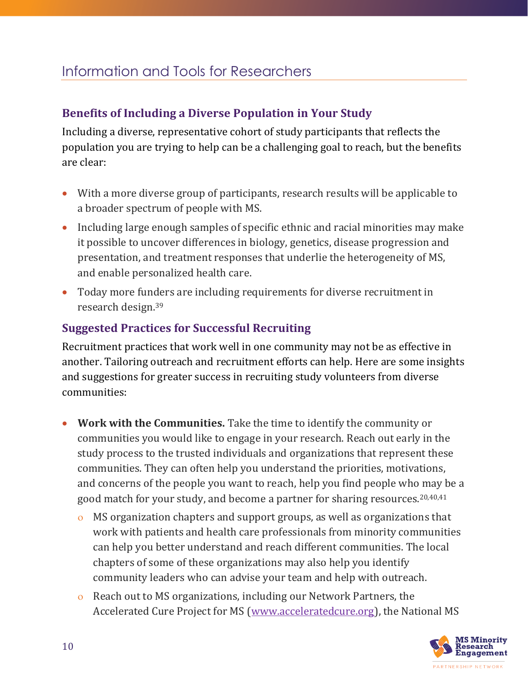# Information and Tools for Researchers

## **Benefits of Including a Diverse Population in Your Study**

Including a diverse, representative cohort of study participants that reflects the population you are trying to help can be a challenging goal to reach, but the benefits are clear:

- With a more diverse group of participants, research results will be applicable to a broader spectrum of people with MS.
- Including large enough samples of specific ethnic and racial minorities may make it possible to uncover differences in biology, genetics, disease progression and presentation, and treatment responses that underlie the heterogeneity of MS, and enable personalized health care.
- Today more funders are including requirements for diverse recruitment in research design. 39

## **Suggested Practices for Successful Recruiting**

Recruitment practices that work well in one community may not be as effective in another. Tailoring outreach and recruitment efforts can help. Here are some insights and suggestions for greater success in recruiting study volunteers from diverse communities:

- **Work with the Communities.** Take the time to identify the community or communities you would like to engage in your research. Reach out early in the study process to the trusted individuals and organizations that represent these communities. They can often help you understand the priorities, motivations, and concerns of the people you want to reach, help you find people who may be a good match for your study, and become a partner for sharing resources.20,40,41
	- MS organization chapters and support groups, as well as organizations that work with patients and health care professionals from minority communities can help you better understand and reach different communities. The local chapters of some of these organizations may also help you identify community leaders who can advise your team and help with outreach.
	- Reach out to MS organizations, including our Network Partners, the Accelerated Cure Project for MS [\(www.acceleratedcure.org\)](http://www.acceleratedcure.org/), the National MS

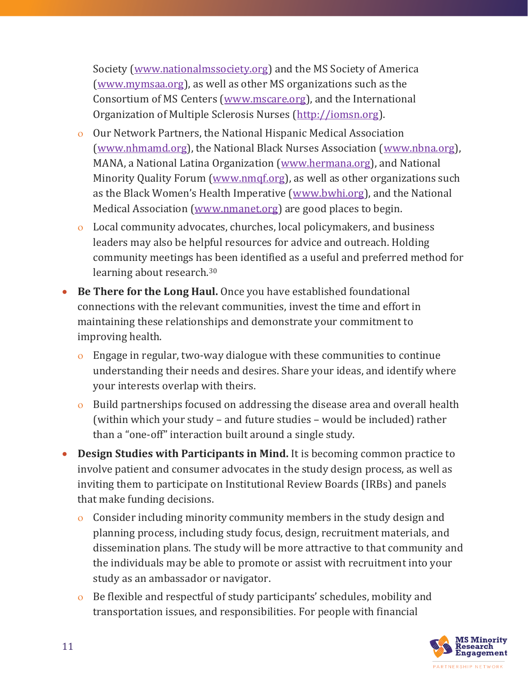Society [\(www.nationalmssociety.org\)](http://www.nationalmssociety.org/) and the MS Society of America [\(www.mymsaa.org\)](http://www.mymsaa.org/), as well as other MS organizations such as the Consortium of MS Centers [\(www.mscare.org\)](http://www.mscare.org/), and the International Organization of Multiple Sclerosis Nurses [\(http://iomsn.org\)](http://iomsn.org/).

- Our Network Partners, the National Hispanic Medical Association [\(www.nhmamd.org\)](http://www.nhmamd.org/), the National Black Nurses Association [\(www.nbna.org\)](http://www.nbna.org/), MANA, a National Latina Organization [\(www.hermana.org\)](http://www.hermana.org/), and National Minority Quality Forum (www.nmgf.org), as well as other organizations such as the Black Women's Health Imperative ([www.bwhi.org\)](http://www.bwhi.org/), and the National Medical Association [\(www.nmanet.org\)](http://www.nmanet.org/) are good places to begin.
- Local community advocates, churches, local policymakers, and business leaders may also be helpful resources for advice and outreach. Holding community meetings has been identified as a useful and preferred method for learning about research.<sup>30</sup>
- **Be There for the Long Haul.** Once you have established foundational connections with the relevant communities, invest the time and effort in maintaining these relationships and demonstrate your commitment to improving health.
	- Engage in regular, two-way dialogue with these communities to continue understanding their needs and desires. Share your ideas, and identify where your interests overlap with theirs.
	- Build partnerships focused on addressing the disease area and overall health (within which your study – and future studies – would be included) rather than a "one-off" interaction built around a single study.
- **Design Studies with Participants in Mind.** It is becoming common practice to involve patient and consumer advocates in the study design process, as well as inviting them to participate on Institutional Review Boards (IRBs) and panels that make funding decisions.
	- Consider including minority community members in the study design and planning process, including study focus, design, recruitment materials, and dissemination plans. The study will be more attractive to that community and the individuals may be able to promote or assist with recruitment into your study as an ambassador or navigator.
	- Be flexible and respectful of study participants' schedules, mobility and transportation issues, and responsibilities. For people with financial

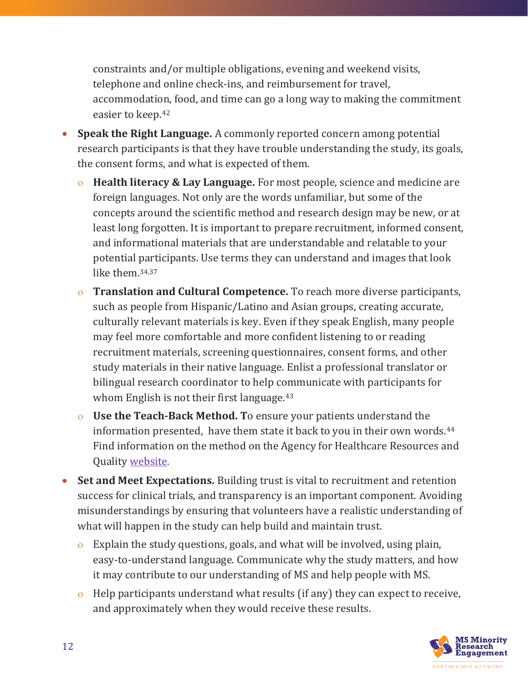constraints and/or multiple obligations, evening and weekend visits, telephone and online check-ins, and reimbursement for travel, accommodation, food, and time can go a long way to making the commitment easier to keep.<sup>42</sup>

- **Speak the Right Language.** A commonly reported concern among potential research participants is that they have trouble understanding the study, its goals, the consent forms, and what is expected of them.
	- **Health literacy & Lay Language.** For most people, science and medicine are foreign languages. Not only are the words unfamiliar, but some of the concepts around the scientific method and research design may be new, or at least long forgotten. It is important to prepare recruitment, informed consent, and informational materials that are understandable and relatable to your potential participants. Use terms they can understand and images that look like them. 34,37
	- **Translation and Cultural Competence.** To reach more diverse participants, such as people from Hispanic/Latino and Asian groups, creating accurate, culturally relevant materials is key. Even if they speak English, many people may feel more comfortable and more confident listening to or reading recruitment materials, screening questionnaires, consent forms, and other study materials in their native language. Enlist a professional translator or bilingual research coordinator to help communicate with participants for whom English is not their first language.<sup>43</sup>
	- **Use the Teach-Back Method. T**o ensure your patients understand the information presented, have them state it back to you in their own words.<sup>44</sup> Find information on the method on the Agency for Healthcare Resources and Quality [website.](https://www.ahrq.gov/professionals/quality-patient-safety/quality-resources/tools/literacy-toolkit/healthlittoolkit2-tool5.html)
- **Set and Meet Expectations.** Building trust is vital to recruitment and retention success for clinical trials, and transparency is an important component. Avoiding misunderstandings by ensuring that volunteers have a realistic understanding of what will happen in the study can help build and maintain trust.
	- Explain the study questions, goals, and what will be involved, using plain, easy-to-understand language. Communicate why the study matters, and how it may contribute to our understanding of MS and help people with MS.
	- Help participants understand what results (if any) they can expect to receive, and approximately when they would receive these results.

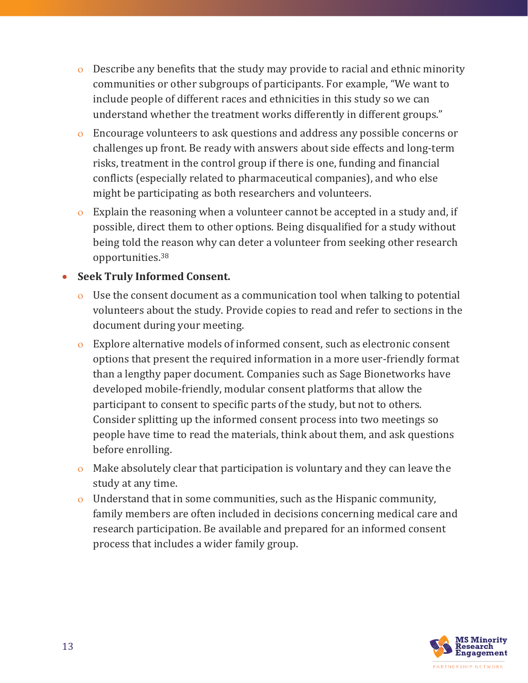- Describe any benefits that the study may provide to racial and ethnic minority communities or other subgroups of participants. For example, "We want to include people of different races and ethnicities in this study so we can understand whether the treatment works differently in different groups."
- Encourage volunteers to ask questions and address any possible concerns or challenges up front. Be ready with answers about side effects and long-term risks, treatment in the control group if there is one, funding and financial conflicts (especially related to pharmaceutical companies), and who else might be participating as both researchers and volunteers.
- Explain the reasoning when a volunteer cannot be accepted in a study and, if possible, direct them to other options. Being disqualified for a study without being told the reason why can deter a volunteer from seeking other research opportunities.<sup>38</sup>

#### **Seek Truly Informed Consent.**

- Use the consent document as a communication tool when talking to potential volunteers about the study. Provide copies to read and refer to sections in the document during your meeting.
- Explore alternative models of informed consent, such as electronic consent options that present the required information in a more user-friendly format than a lengthy paper document. Companies such as Sage Bionetworks have developed mobile-friendly, modular consent platforms that allow the participant to consent to specific parts of the study, but not to others. Consider splitting up the informed consent process into two meetings so people have time to read the materials, think about them, and ask questions before enrolling.
- Make absolutely clear that participation is voluntary and they can leave the study at any time.
- Understand that in some communities, such as the Hispanic community, family members are often included in decisions concerning medical care and research participation. Be available and prepared for an informed consent process that includes a wider family group.

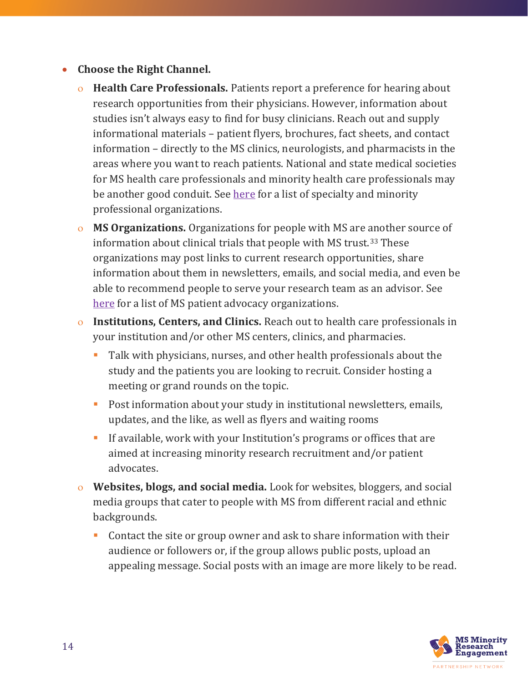- **Choose the Right Channel.** 
	- **Health Care Professionals.** Patients report a preference for hearing about research opportunities from their physicians. However, information about studies isn't always easy to find for busy clinicians. Reach out and supply informational materials – patient flyers, brochures, fact sheets, and contact information – directly to the MS clinics, neurologists, and pharmacists in the areas where you want to reach patients. National and state medical societies for MS health care professionals and minority health care professionals may be another good conduit. See here for a list of specialty and minority professional organizations.
	- **MS Organizations.** Organizations for people with MS are another source of information about clinical trials that people with MS trust.<sup>33</sup> These organizations may post links to current research opportunities, share information about them in newsletters, emails, and social media, and even be able to recommend people to serve your research team as an advisor. See here for a list of MS patient advocacy organizations.
	- **Institutions, Centers, and Clinics.** Reach out to health care professionals in your institution and/or other MS centers, clinics, and pharmacies.
		- Talk with physicians, nurses, and other health professionals about the study and the patients you are looking to recruit. Consider hosting a meeting or grand rounds on the topic.
		- Post information about your study in institutional newsletters, emails, updates, and the like, as well as flyers and waiting rooms
		- If available, work with your Institution's programs or offices that are aimed at increasing minority research recruitment and/or patient advocates.
	- **Websites, blogs, and social media.** Look for websites, bloggers, and social media groups that cater to people with MS from different racial and ethnic backgrounds.
		- Contact the site or group owner and ask to share information with their audience or followers or, if the group allows public posts, upload an appealing message. Social posts with an image are more likely to be read.